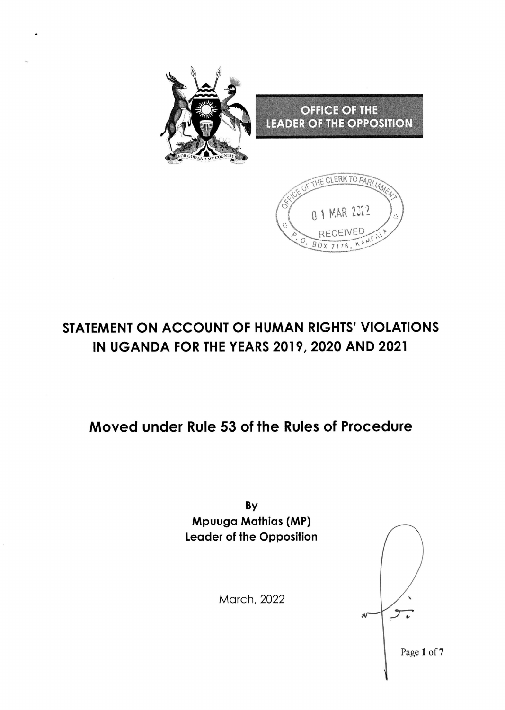

# STATEMENT ON ACCOUNT OF HUMAN RIGHTS' VIOLATIONS IN UGANDA FOR THE YEARS 2019, 2020 AND 2021

# Moved under Rule 53 of the Rules of Procedure

By Mpuugo Mothios (MP) Leoder of the Opposition

Morch, 2022

Page 1 of 7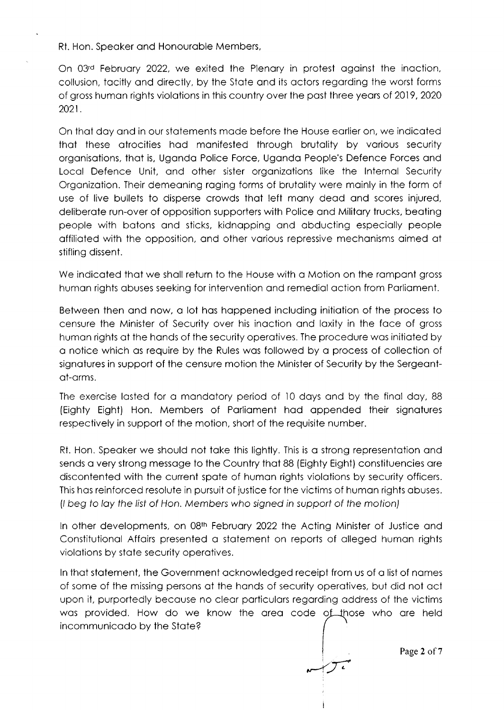Rt. Hon. Speoker ond Honouroble Members,

On 03 $<sup>d</sup>$  February 2022, we exited the Plenary in protest against the inaction,</sup> collusion, tocitly ond directly, by the Stote ond its octors regording the worst forms of gross human rights violations in this country over the past three years of 2019, 2020 2021.

On thot doy ond in our stotements mode before the House eorlier on, we indicoted thot these otrocities hod monifested through brutolity by vorious security orgonisotions, thot is, Ugondo Police Force, Ugondo People's Defence Forces ond Locol Defence Unit, ond other sister orgonizotions like the lnternol Security Organization. Their demeaning raging forms of brutality were mainly in the form of use of live bullets to disperse crowds thot left mony deod ond scores injured, deliberate run-over of opposition supporters with Police and Military trucks, beating people with botons ond sticks, kidnopping ond obducting especiolly people offilioted with the opposition, ond other vorious repressive mechonisms oimed ot stifling dissent.

We indicated that we shall return to the House with a Motion on the rampant gross human rights abuses seeking for intervention and remedial action from Parliament.

Between then ond now, o lot hos hoppened including initiotion of the process to censure the Minister of Security over his inoction ond loxity in the foce of gross humon rights of the honds of the security operotives. The procedure wos initioted by o notice which os require by the Rules wos followed by o process of collection of signatures in support of the censure motion the Minister of Security by the Sergeantot-orms.

The exercise lasted for a mandatory period of 10 days and by the final day, 88 (Eighty Eight) Hon. Members of Porliqment hod oppended their signotures respectively in support of the motion, short of the requisite number.

Rt. Hon. Speaker we should not take this lightly. This is a strong representation and sends o very strong messoge to the Country thot 88 (Eighty Eight) constituencies ore discontented with the current spote of humon rights violotions by security officers. This hos reinforced resolute in pursuit of justice for the victims of humon rights obuses. (/ beg fo loy the /ist of Hon. Members who signed in support of fhe motion)

ln other developments, on 08tn Februory 2022 the Acting Minister of Justice ond Constitutional Affairs presented a statement on reports of alleged human rights violations by state security operatives.

ln thot stotement, the Government ocknowledged receipt from us of o list of nomes of some of the missing persons qt the honds of security operotives, but did not oct upon it, purportedly becouse no cleor porticulors regording oddress of the victims was provided. How do we know the area code of those who are held incommunicodo by the Stote?

L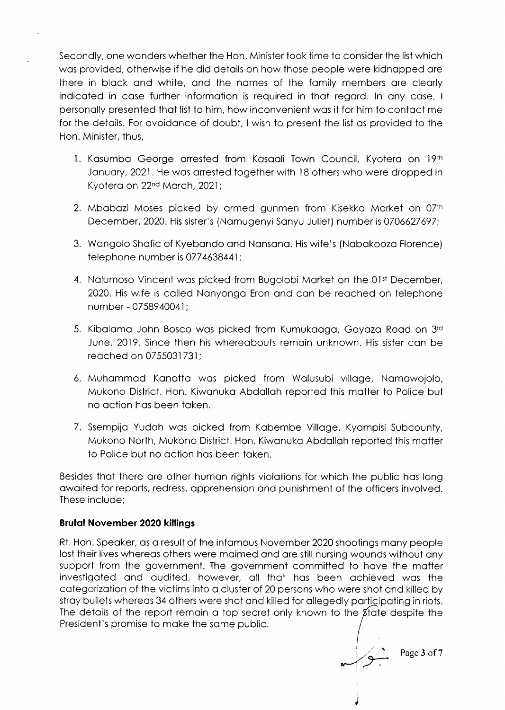Secondly, one wonders whether the Hon. Minister took time to consider the list which wos provided, otherwise if he did detoils on how those people were kidnopped ore there in block ond white, ond the nomes of the fomily members ore cleorly indicoted in cose further informotion is required in thot regord. ln ony cose, <sup>I</sup> personolly presented thot list to him, how inconvenient wos it for him to contoct me for the detoils. For ovoidonce of doubt, I wish to present the list os provided to the Hon. Minister, thus.

- 1. Kasumba George arrested from Kasaali Town Council, Kyotera on 19th January, 2021. He was arrested together with 18 others who were dropped in Kyotera on 22<sup>nd</sup> March, 2021;
- 2. Mbabazi Moses picked by armed gunmen from Kisekka Market on 07th December,2020. His sister's (Nomugenyi Sonyu Juliet) number is 0706627697;
- 3. Wongolo Shofic of Kyebondo ond Nonsono. His wife's (Nobokoozo Florence) telephone number is 0774638441;
- 4. Nalumoso Vincent was picked from Bugolobi Market on the 01st December, 2020. His wife is called Nanyonga Eron and can be reached on telephone number - 0758940041;
- 5. Kibalama John Bosco was picked from Kumukaaga, Gayaza Road on 3rd June, 2019. Since then his whereobouts remoin unknown. His sister con be reoched on 0755031731;
- 6. Muhommod Konotto wos picked from Wolusubi villoge, Nomowojolo, Mukono District. Hon. Kiwonuko Abdolloh reported this motter to Police but no action has been taken.
- 7. Ssempijo Yudoh wos picked from Kobembe Villoge, Kyompisi Subcounty, Mukono North, Mukono District. Hon. Kiwanuka Abdallah reported this matter to Police but no oction hos been token.

Besides thot there ore other humon rights violotions for which the public hos long owoited for reports, redress, opprehension ond punishment of the officers involved. These include;

#### Brutal November 2020 killings

Rt. Hon. Speoker. os o result of the infomous November 2020 shootings mony people lost their lives whereos others were moimed ond ore still nursing wounds without ony support from the government. The government committed to have the matter investigoted ond oudited, however, oll thot hos been ochieved wos the cotegorizotion of the victims into o cluster of 20 persons who were shot ond killed by stray bullets whereas 34 others were shot and killed for allegedly participating in riots. The details of the report remain a top secret only known to the  $\beta$  tate despite the President's promise to make the same public.

j'.r i Page 3 of 7

J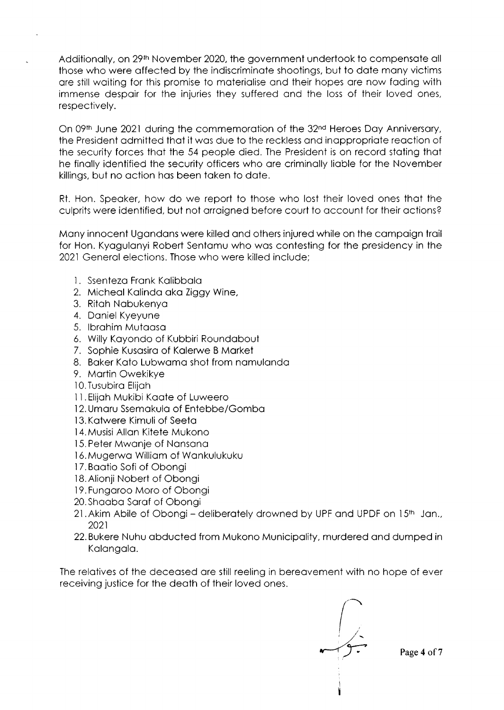Additionally, on 29<sup>th</sup> November 2020, the government undertook to compensate all those who were offected by the indiscriminote shootings, but to dote mony victims ore still woiting for this promise to moteriolise ond their hopes ore now foding with immense despoir for the injuries they suffered ond the loss of their loved ones, respectively.

On 09th June 2021 during the commemoration of the 32<sup>nd</sup> Heroes Day Anniversary, the President odmitted thot it wos due to the reckless ond inoppropriote reoction of the security forces thot the 54 people died. The President is on record stoting thot he finolly identified the security officers who ore criminolly lioble for the November killings, but no action has been taken to date.

Rt. Hon. Speoker, how do we report to those who lost their loved ones thot the culprits were identified, but not orroigned before court to occount for their octions?

Mony innocent Ugondons were killed ond others injured while on the compoign troil for Hon. Kyogulonyi Robert Sentomu who wos contesting for the presidency in the 2021 Generol elections. Those who were killed include;

- 1. Ssenteza Frank Kalibbala
- 2. Micheol Kolindo oko Ziggy Wine,
- 3. Ritoh Nobukenyo
- 4. Doniel Kyeyune
- 5. lbrohim Mutooso
- 6. Willy Koyondo of Kubbiri Roundobout
- 7. Sophie Kusosiro of Kolerwe B Morket
- 8. Baker Kato Lubwama shot from namulanda
- 9. Mortin Owekikye
- l0.Tusubiro Elijoh
- 11. Elijah Mukibi Kaate of Luweero
- 12. Umoru Ssemokulo of Entebbe/Gombo
- 13. Kotwere Kimuli of Seeto
- 14. Musisi Allon Kitete Mukono
- 15. Peter Mwonje of Nonsono
- l6.Mugerwo Williom of Wonkulukuku
- 17. Baatio Sofi of Obonai
- 18. Alionii Nobert of Obongi
- 19. Fungoroo Moro of Obongi
- 20.Shoobo Sorof of Obongi
- 21. Akim Abile of Obongi deliberately drowned by UPF and UPDF on 15<sup>th</sup> Jan., 2021
- 22.Bvkere Nuhu obducted from Mukono Municipolity, murdered ond dumped in Kalangala.

The relatives of the deceased are still reeling in bereavement with no hope of ever receiving justice for the deoth of their loved ones.

Page 4 of 7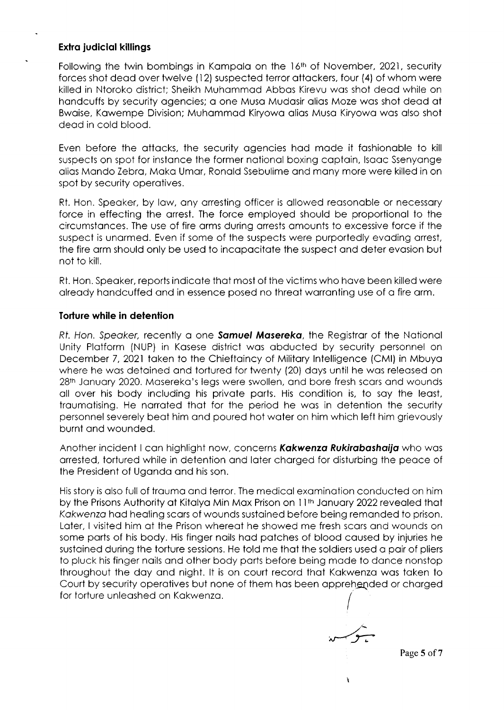### Exlro judiciol killings

Following the twin bombings in Kampala on the 16<sup>th</sup> of November, 2021, security forces shot dead over twelve (12) suspected terror attackers, four (4) of whom were killed in Ntoroko district; Sheikh Muhommqd Abbos Kirevu wos shot deod while on hondcuffs by security ogencies; o one Muso Mudosir olios Moze wos shot deod ot Bwoise, Kowempe Division; Muhommod Kiryowo olios Muso Kiryowo wos olso shot deod in cold blood.

Even before the ottocks, the security ogencies hod mode it foshionoble to kill suspects on spot for instance the former national boxing captain, Isaac Ssenyange olios Mondo Zebro, Moko Umor, Ronold Ssebulime ond mony more were killed in on spot by security operatives.

Rt. Hon. Speaker, by law, any arresting officer is allowed reasonable or necessary force in effecting the orrest. The force employed should be proportionol to the circumstonces. The use of fire orms during orrests omounts to excessive force if the suspect is unarmed. Even if some of the suspects were purportedly evading arrest, the fire orm should only be used to incopocitote the suspect ond deter evosion but not to kill.

Rt. Hon. Speaker, reports indicate that most of the victims who have been killed were already handcuffed and in essence posed no threat warranting use of a fire arm.

#### Torture while in detention

Rt. Hon. Speaker, recently a one **Samuel Masereka**, the Registrar of the National Unity Plotform (NUP) in Kosese district wos obducted by security personnel on December 7, 2021 token to the Chieftoincy of Militory lntelligence (CMl) in Mbuyo where he wos detoined ond tortured for twenty (20) doys until he wos releosed on 28<sup>th</sup> January 2020. Masereka's legs were swollen, and bore fresh scars and wounds all over his body including his private parts. His condition is, to say the least, troumotising. He norroted thot for the period he wos in detention the security personnel severely beot him ond poured hot woter on him which left him grievously burnt ond wounded.

Another incident I can highlight now, concerns Kakwenza Rukirabashaija who was orrested, tortured while in detention ond loter chorged for disturbing the peoce of the President of Uganda and his son.

His story is also full of trauma and terror. The medical examination conducted on him by the Prisons Authority at Kitalya Min Max Prison on 11<sup>th</sup> January 2022 revealed that Kokwenzo hod heoling scors of wounds sustoined before being remonded to prison. Later, I visited him at the Prison whereat he showed me fresh scars and wounds on some parts of his body. His finger nails had patches of blood caused by injuries he sustained during the torture sessions. He told me that the soldiers used a pair of pliers to pluck his finger nails and other body parts before being made to dance nonstop throughout the doy ond night. lt is on court record thot Kokwenzo wos token to Court by security operatives but none of them has been apprehended or charged for torture unleashed on Kakwenza.

l L

 $\lambda$ 

Page 5 of 7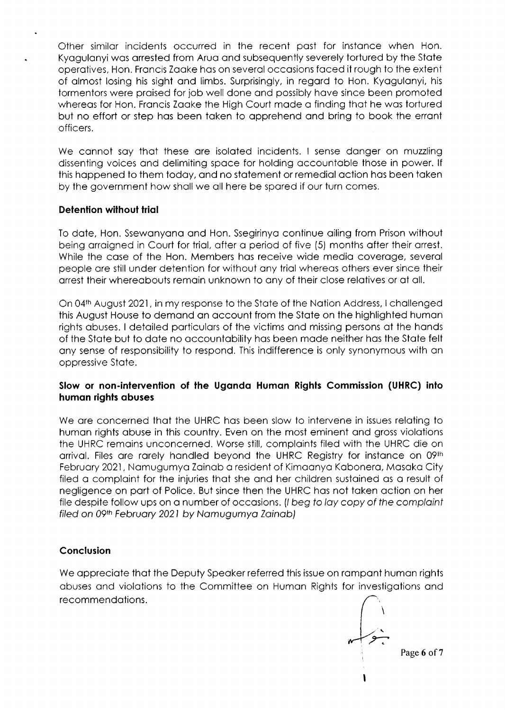Other similor incidents occurred in the recent post for instonce when Hon. Kyagulanyi was arrested from Arua and subsequently severely tortured by the State operotives, Hon. Froncis Zooke hos on severol occosions foced it rough to the extent of olmost losing his sight ond limbs. Surprisingly, in regord to Hon. Kyogulonyi, his tormentors were proised for job well done ond possibly hove since been promoted whereas for Hon. Francis Zaake the High Court made a finding that he was tortured but no effort or step hos been token to opprehend ond bring to book the erront officers.

We cannot say that these are isolated incidents. I sense danger on muzzling dissenting voices ond delimiting spoce for holding occountoble those in power. lf this happened to them today, and no statement or remedial action has been taken by the government how sholl we oll here be spored if our turn comes.

### Detention without trial

To dqte, Hon. Ssewonyono ond Hon. Ssegirinyo continue oiling from Prison without being arraigned in Court for trial, after a period of five (5) months after their arrest. While the case of the Hon. Members has receive wide media coverage, several people ore still under detention for without ony triol whereos others ever since their orrest their whereobouts remoin unknown to ony of their close relotives or of oll.

On 04<sup>th</sup> August 2021, in my response to the State of the Nation Address, I challenged this August House to demond on occount from the Stote on the highlighted humon rights obuses. I detoiled porticulors of the victims ond missing persons of the honds of the State but to date no accountability has been made neither has the State felt ony sense of responsibility to respond. Ihis indifference is only synonymous with on oppressive Stqte.

# Slow or non-inlervention of the Ugondo Humon Rights Commission (UHRC) into humon rights obuses

We are concerned that the UHRC has been slow to intervene in issues relating to humqn rights qbuse in this country. Even on the most eminent ond gross violotions the UHRC remoins unconcerned. Worse still, comploints filed with the UHRC die on arrival. Files are rarely handled beyond the UHRC Registry for instance on 09th Februory 2021 , Nomugumyo Zoinob o resident of Kimoonyo Kobonero, Mosoko City filed a complaint for the injuries that she and her children sustained as a result of negligence on port of Police. But since then the UHRC hos not token oction on her file despite follow ups on a number of occasions. (I beg to lay copy of the complaint filed on 09th February 2021 by Namugumya Zainab)

# Conclusion

We appreciate that the Deputy Speaker referred this issue on rampant human rights obuses ond violqtions to the Committee on Humon Rights for investigotions ond recommendotions.

I ,- Page 6 of 7  $\backslash$